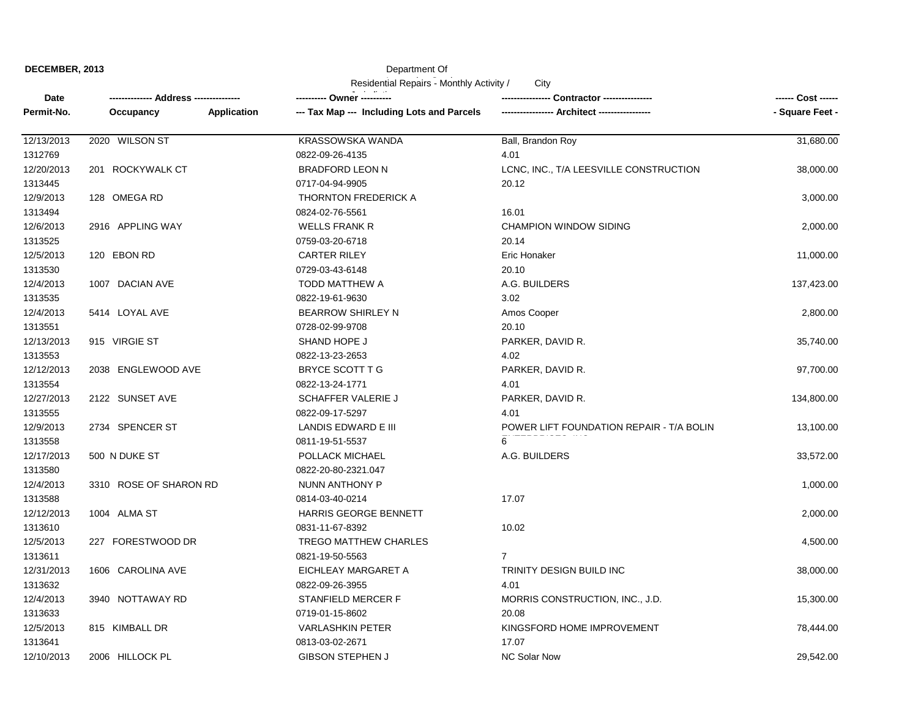| DECEMBER, 2013 |  |
|----------------|--|
|                |  |

## Department Of

| Residential Repairs - Monthly Activity /<br>City |                          |                                            |                                          |                    |
|--------------------------------------------------|--------------------------|--------------------------------------------|------------------------------------------|--------------------|
| Date                                             | Address ---------------- |                                            | <b>Contractor ----------------</b>       | ------ Cost ------ |
| Permit-No.                                       | Occupancy<br>Application | --- Tax Map --- Including Lots and Parcels |                                          | - Square Feet -    |
| 12/13/2013                                       | 2020 WILSON ST           | KRASSOWSKA WANDA                           | Ball, Brandon Roy                        | 31,680.00          |
| 1312769                                          |                          | 0822-09-26-4135                            | 4.01                                     |                    |
| 12/20/2013                                       | 201 ROCKYWALK CT         | <b>BRADFORD LEON N</b>                     | LCNC, INC., T/A LEESVILLE CONSTRUCTION   | 38,000.00          |
| 1313445                                          |                          | 0717-04-94-9905                            | 20.12                                    |                    |
| 12/9/2013                                        | 128 OMEGA RD             | <b>THORNTON FREDERICK A</b>                |                                          | 3,000.00           |
| 1313494                                          |                          | 0824-02-76-5561                            | 16.01                                    |                    |
| 12/6/2013                                        | 2916 APPLING WAY         | <b>WELLS FRANK R</b>                       | <b>CHAMPION WINDOW SIDING</b>            | 2,000.00           |
| 1313525                                          |                          | 0759-03-20-6718                            | 20.14                                    |                    |
| 12/5/2013                                        | 120 EBON RD              | <b>CARTER RILEY</b>                        | Eric Honaker                             | 11,000.00          |
| 1313530                                          |                          | 0729-03-43-6148                            | 20.10                                    |                    |
| 12/4/2013                                        | 1007 DACIAN AVE          | <b>TODD MATTHEW A</b>                      | A.G. BUILDERS                            | 137,423.00         |
| 1313535                                          |                          | 0822-19-61-9630                            | 3.02                                     |                    |
| 12/4/2013                                        | 5414 LOYAL AVE           | <b>BEARROW SHIRLEY N</b>                   | Amos Cooper                              | 2,800.00           |
| 1313551                                          |                          | 0728-02-99-9708                            | 20.10                                    |                    |
| 12/13/2013                                       | 915 VIRGIE ST            | SHAND HOPE J                               | PARKER, DAVID R.                         | 35,740.00          |
| 1313553                                          |                          | 0822-13-23-2653                            | 4.02                                     |                    |
| 12/12/2013                                       | 2038 ENGLEWOOD AVE       | BRYCE SCOTT T G                            | PARKER, DAVID R.                         | 97,700.00          |
| 1313554                                          |                          | 0822-13-24-1771                            | 4.01                                     |                    |
| 12/27/2013                                       | 2122 SUNSET AVE          | <b>SCHAFFER VALERIE J</b>                  | PARKER, DAVID R.                         | 134,800.00         |
| 1313555                                          |                          | 0822-09-17-5297                            | 4.01                                     |                    |
| 12/9/2013                                        | 2734 SPENCER ST          | LANDIS EDWARD E III                        | POWER LIFT FOUNDATION REPAIR - T/A BOLIN | 13,100.00          |
| 1313558                                          |                          | 0811-19-51-5537                            | 6                                        |                    |
| 12/17/2013                                       | 500 N DUKE ST            | POLLACK MICHAEL                            | A.G. BUILDERS                            | 33,572.00          |
| 1313580                                          |                          | 0822-20-80-2321.047                        |                                          |                    |
| 12/4/2013                                        | 3310 ROSE OF SHARON RD   | NUNN ANTHONY P                             |                                          | 1,000.00           |
| 1313588                                          |                          | 0814-03-40-0214                            | 17.07                                    |                    |
| 12/12/2013                                       | 1004 ALMA ST             | <b>HARRIS GEORGE BENNETT</b>               |                                          | 2,000.00           |
| 1313610                                          |                          | 0831-11-67-8392                            | 10.02                                    |                    |
| 12/5/2013                                        | 227 FORESTWOOD DR        | TREGO MATTHEW CHARLES                      |                                          | 4,500.00           |
| 1313611                                          |                          | 0821-19-50-5563                            | $\overline{7}$                           |                    |
| 12/31/2013                                       | 1606 CAROLINA AVE        | EICHLEAY MARGARET A                        | TRINITY DESIGN BUILD INC                 | 38,000.00          |
| 1313632                                          |                          | 0822-09-26-3955                            | 4.01                                     |                    |
| 12/4/2013                                        | 3940 NOTTAWAY RD         | STANFIELD MERCER F                         | MORRIS CONSTRUCTION, INC., J.D.          | 15,300.00          |
| 1313633                                          |                          | 0719-01-15-8602                            | 20.08                                    |                    |
| 12/5/2013                                        | 815 KIMBALL DR           | <b>VARLASHKIN PETER</b>                    | KINGSFORD HOME IMPROVEMENT               | 78,444.00          |
| 1313641                                          |                          | 0813-03-02-2671                            | 17.07                                    |                    |
| 12/10/2013                                       | 2006 HILLOCK PL          | <b>GIBSON STEPHEN J</b>                    | <b>NC Solar Now</b>                      | 29,542.00          |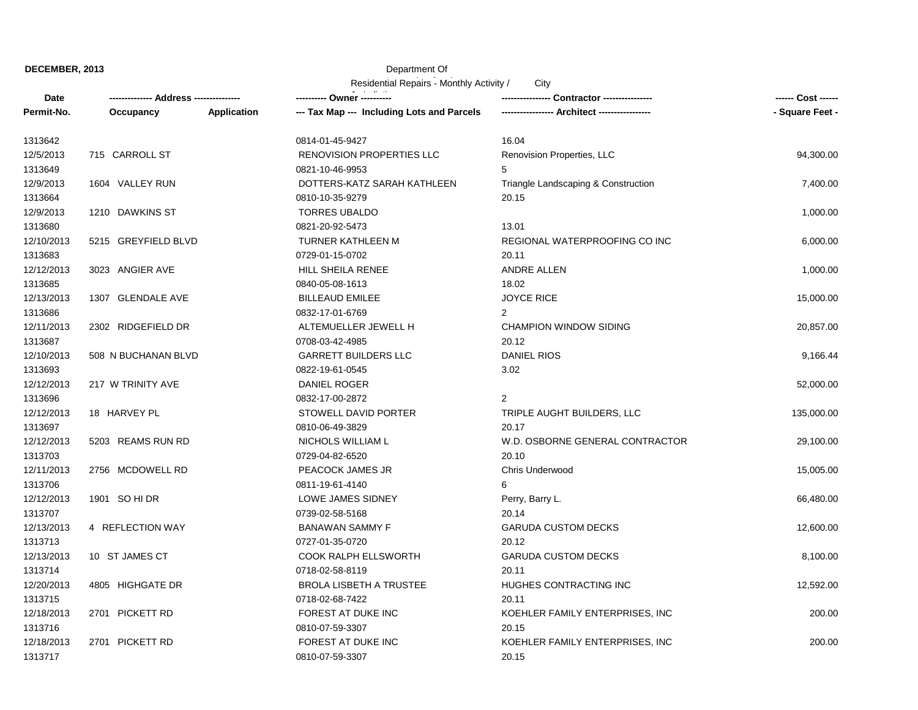**DECEMBER, 2013**

## Department Of

| Residential Repairs - Monthly Activity /<br>City |                         |                    |                                            |                                     |                 |
|--------------------------------------------------|-------------------------|--------------------|--------------------------------------------|-------------------------------------|-----------------|
| Date                                             | --- Address ----------- |                    |                                            | Contractor ---------------          |                 |
| Permit-No.                                       | Occupancy               | <b>Application</b> | --- Tax Map --- Including Lots and Parcels | - Architect -----------             | - Square Feet - |
| 1313642                                          |                         |                    | 0814-01-45-9427                            | 16.04                               |                 |
| 12/5/2013                                        | 715 CARROLL ST          |                    | <b>RENOVISION PROPERTIES LLC</b>           | Renovision Properties, LLC          | 94,300.00       |
| 1313649                                          |                         |                    | 0821-10-46-9953                            | 5                                   |                 |
| 12/9/2013                                        | 1604 VALLEY RUN         |                    | DOTTERS-KATZ SARAH KATHLEEN                | Triangle Landscaping & Construction | 7,400.00        |
| 1313664                                          |                         |                    | 0810-10-35-9279                            | 20.15                               |                 |
| 12/9/2013                                        | 1210 DAWKINS ST         |                    | <b>TORRES UBALDO</b>                       |                                     | 1,000.00        |
| 1313680                                          |                         |                    | 0821-20-92-5473                            | 13.01                               |                 |
| 12/10/2013                                       | 5215 GREYFIELD BLVD     |                    | TURNER KATHLEEN M                          | REGIONAL WATERPROOFING CO INC       | 6,000.00        |
| 1313683                                          |                         |                    | 0729-01-15-0702                            | 20.11                               |                 |
| 12/12/2013                                       | 3023 ANGIER AVE         |                    | HILL SHEILA RENEE                          | <b>ANDRE ALLEN</b>                  | 1,000.00        |
| 1313685                                          |                         |                    | 0840-05-08-1613                            | 18.02                               |                 |
| 12/13/2013                                       | 1307 GLENDALE AVE       |                    | <b>BILLEAUD EMILEE</b>                     | <b>JOYCE RICE</b>                   | 15,000.00       |
| 1313686                                          |                         |                    | 0832-17-01-6769                            | $\overline{2}$                      |                 |
| 12/11/2013                                       | 2302 RIDGEFIELD DR      |                    | ALTEMUELLER JEWELL H                       | <b>CHAMPION WINDOW SIDING</b>       | 20,857.00       |
| 1313687                                          |                         |                    | 0708-03-42-4985                            | 20.12                               |                 |
| 12/10/2013                                       | 508 N BUCHANAN BLVD     |                    | <b>GARRETT BUILDERS LLC</b>                | <b>DANIEL RIOS</b>                  | 9,166.44        |
| 1313693                                          |                         |                    | 0822-19-61-0545                            | 3.02                                |                 |
| 12/12/2013                                       | 217 W TRINITY AVE       |                    | DANIEL ROGER                               |                                     | 52,000.00       |
| 1313696                                          |                         |                    | 0832-17-00-2872                            | 2                                   |                 |
| 12/12/2013                                       | 18 HARVEY PL            |                    | <b>STOWELL DAVID PORTER</b>                | TRIPLE AUGHT BUILDERS, LLC          | 135,000.00      |
| 1313697                                          |                         |                    | 0810-06-49-3829                            | 20.17                               |                 |
| 12/12/2013                                       | 5203 REAMS RUN RD       |                    | NICHOLS WILLIAM L                          | W.D. OSBORNE GENERAL CONTRACTOR     | 29,100.00       |
| 1313703                                          |                         |                    | 0729-04-82-6520                            | 20.10                               |                 |
| 12/11/2013                                       | 2756 MCDOWELL RD        |                    | PEACOCK JAMES JR                           | Chris Underwood                     | 15,005.00       |
| 1313706                                          |                         |                    | 0811-19-61-4140                            | 6                                   |                 |
| 12/12/2013                                       | 1901 SO HI DR           |                    | LOWE JAMES SIDNEY                          | Perry, Barry L.                     | 66,480.00       |
| 1313707                                          |                         |                    | 0739-02-58-5168                            | 20.14                               |                 |
| 12/13/2013                                       | 4 REFLECTION WAY        |                    | <b>BANAWAN SAMMY F</b>                     | <b>GARUDA CUSTOM DECKS</b>          | 12,600.00       |
| 1313713                                          |                         |                    | 0727-01-35-0720                            | 20.12                               |                 |
| 12/13/2013                                       | 10 ST JAMES CT          |                    | <b>COOK RALPH ELLSWORTH</b>                | <b>GARUDA CUSTOM DECKS</b>          | 8,100.00        |
| 1313714                                          |                         |                    | 0718-02-58-8119                            | 20.11                               |                 |
| 12/20/2013                                       | 4805 HIGHGATE DR        |                    | <b>BROLA LISBETH A TRUSTEE</b>             | HUGHES CONTRACTING INC              | 12,592.00       |
| 1313715                                          |                         |                    | 0718-02-68-7422                            | 20.11                               |                 |
| 12/18/2013                                       | 2701 PICKETT RD         |                    | FOREST AT DUKE INC                         | KOEHLER FAMILY ENTERPRISES, INC     | 200.00          |
| 1313716                                          |                         |                    | 0810-07-59-3307                            | 20.15                               |                 |
| 12/18/2013                                       | 2701 PICKETT RD         |                    | FOREST AT DUKE INC                         | KOEHLER FAMILY ENTERPRISES, INC     | 200.00          |
| 1313717                                          |                         |                    | 0810-07-59-3307                            | 20.15                               |                 |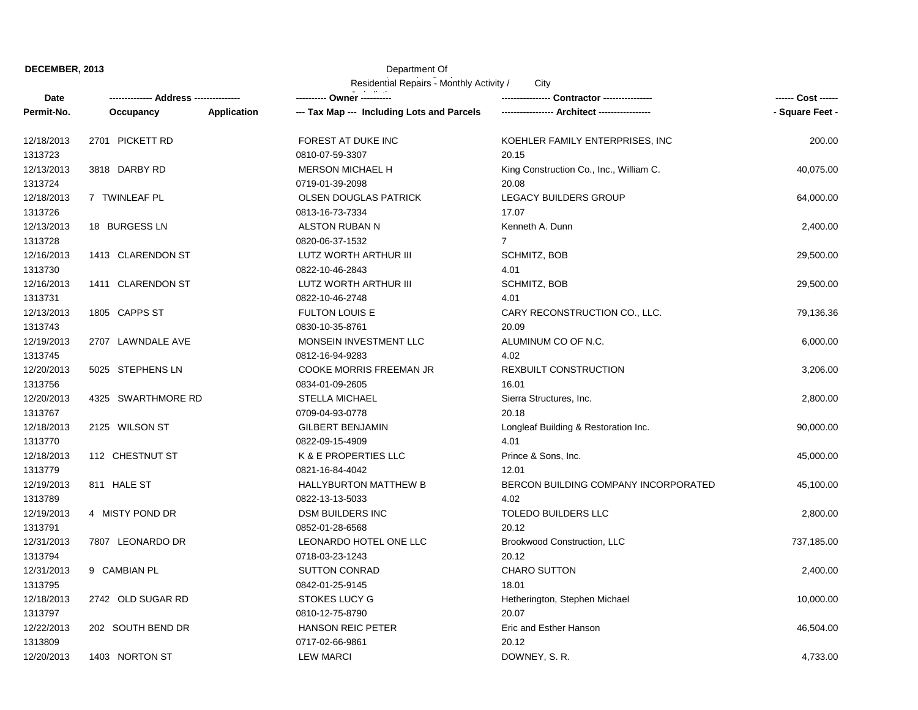**DECEMBER, 2013**

## Department Of

Residential Repairs - Monthly Activity /

**City** 

| <b>Date</b> | ------------- Address -------------- |             | ---------- Owner ----------                |                                         | ------ Cost ------ |
|-------------|--------------------------------------|-------------|--------------------------------------------|-----------------------------------------|--------------------|
| Permit-No.  | Occupancy                            | Application | --- Tax Map --- Including Lots and Parcels |                                         | - Square Feet -    |
| 12/18/2013  | 2701 PICKETT RD                      |             | FOREST AT DUKE INC                         | KOEHLER FAMILY ENTERPRISES, INC         | 200.00             |
| 1313723     |                                      |             | 0810-07-59-3307                            | 20.15                                   |                    |
| 12/13/2013  | 3818 DARBY RD                        |             | MERSON MICHAEL H                           | King Construction Co., Inc., William C. | 40,075.00          |
| 1313724     |                                      |             | 0719-01-39-2098                            | 20.08                                   |                    |
| 12/18/2013  | 7 TWINLEAF PL                        |             | <b>OLSEN DOUGLAS PATRICK</b>               | <b>LEGACY BUILDERS GROUP</b>            | 64,000.00          |
| 1313726     |                                      |             | 0813-16-73-7334                            | 17.07                                   |                    |
| 12/13/2013  | 18 BURGESS LN                        |             | ALSTON RUBAN N                             | Kenneth A. Dunn                         | 2,400.00           |
| 1313728     |                                      |             | 0820-06-37-1532                            | $\overline{7}$                          |                    |
| 12/16/2013  | 1413 CLARENDON ST                    |             | LUTZ WORTH ARTHUR III                      | SCHMITZ, BOB                            | 29,500.00          |
| 1313730     |                                      |             | 0822-10-46-2843                            | 4.01                                    |                    |
| 12/16/2013  | 1411 CLARENDON ST                    |             | LUTZ WORTH ARTHUR III                      | SCHMITZ, BOB                            | 29,500.00          |
| 1313731     |                                      |             | 0822-10-46-2748                            | 4.01                                    |                    |
| 12/13/2013  | 1805 CAPPS ST                        |             | FULTON LOUIS E                             | CARY RECONSTRUCTION CO., LLC.           | 79,136.36          |
| 1313743     |                                      |             | 0830-10-35-8761                            | 20.09                                   |                    |
| 12/19/2013  | 2707 LAWNDALE AVE                    |             | MONSEIN INVESTMENT LLC                     | ALUMINUM CO OF N.C.                     | 6,000.00           |
| 1313745     |                                      |             | 0812-16-94-9283                            | 4.02                                    |                    |
| 12/20/2013  | 5025 STEPHENS LN                     |             | <b>COOKE MORRIS FREEMAN JR</b>             | <b>REXBUILT CONSTRUCTION</b>            | 3,206.00           |
| 1313756     |                                      |             | 0834-01-09-2605                            | 16.01                                   |                    |
| 12/20/2013  | 4325 SWARTHMORE RD                   |             | <b>STELLA MICHAEL</b>                      | Sierra Structures, Inc.                 | 2,800.00           |
| 1313767     |                                      |             | 0709-04-93-0778                            | 20.18                                   |                    |
| 12/18/2013  | 2125 WILSON ST                       |             | <b>GILBERT BENJAMIN</b>                    | Longleaf Building & Restoration Inc.    | 90,000.00          |
| 1313770     |                                      |             | 0822-09-15-4909                            | 4.01                                    |                    |
| 12/18/2013  | 112 CHESTNUT ST                      |             | K & E PROPERTIES LLC                       | Prince & Sons, Inc.                     | 45,000.00          |
| 1313779     |                                      |             | 0821-16-84-4042                            | 12.01                                   |                    |
| 12/19/2013  | 811 HALE ST                          |             | <b>HALLYBURTON MATTHEW B</b>               | BERCON BUILDING COMPANY INCORPORATED    | 45,100.00          |
| 1313789     |                                      |             | 0822-13-13-5033                            | 4.02                                    |                    |
| 12/19/2013  | 4 MISTY POND DR                      |             | <b>DSM BUILDERS INC</b>                    | TOLEDO BUILDERS LLC                     | 2,800.00           |
| 1313791     |                                      |             | 0852-01-28-6568                            | 20.12                                   |                    |
| 12/31/2013  | 7807 LEONARDO DR                     |             | LEONARDO HOTEL ONE LLC                     | Brookwood Construction, LLC             | 737,185.00         |
| 1313794     |                                      |             | 0718-03-23-1243                            | 20.12                                   |                    |
| 12/31/2013  | 9 CAMBIAN PL                         |             | <b>SUTTON CONRAD</b>                       | <b>CHARO SUTTON</b>                     | 2,400.00           |
| 1313795     |                                      |             | 0842-01-25-9145                            | 18.01                                   |                    |
| 12/18/2013  | 2742 OLD SUGAR RD                    |             | <b>STOKES LUCY G</b>                       | Hetherington, Stephen Michael           | 10,000.00          |
| 1313797     |                                      |             | 0810-12-75-8790                            | 20.07                                   |                    |
| 12/22/2013  | 202 SOUTH BEND DR                    |             | <b>HANSON REIC PETER</b>                   | Eric and Esther Hanson                  | 46,504.00          |
| 1313809     |                                      |             | 0717-02-66-9861                            | 20.12                                   |                    |
| 12/20/2013  | 1403 NORTON ST                       |             | <b>LEW MARCI</b>                           | DOWNEY, S.R.                            | 4,733.00           |